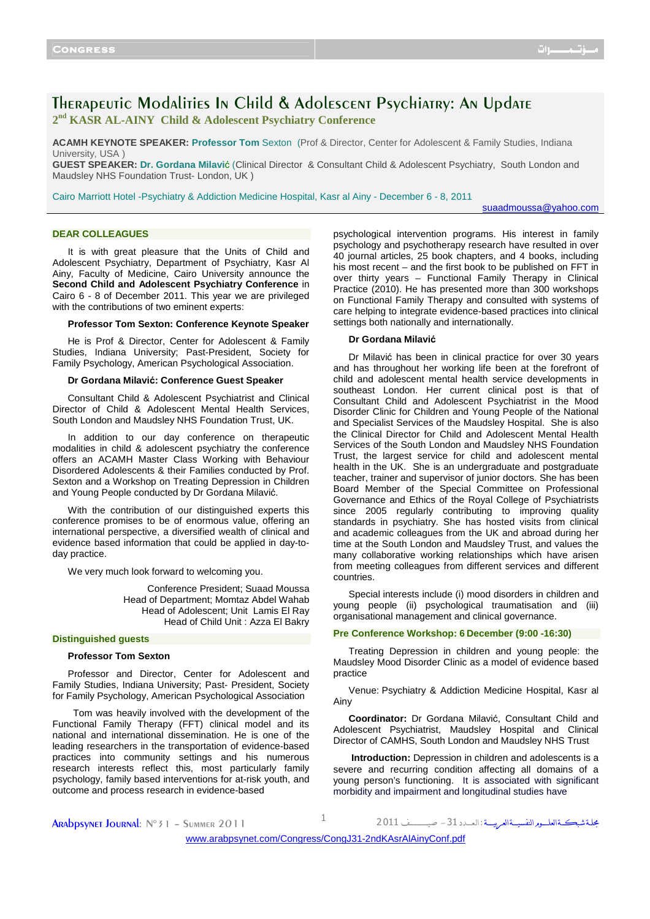# Therapeutic Modalities In Child & Adolescent Psychiatry: An Update **2 nd KASR AL-AINY Child & Adolescent Psychiatry Conference**

**ACAMH KEYNOTE SPEAKER: Professor Tom** Sexton (Prof & Director, Center for Adolescent & Family Studies, Indiana University, USA )

**GUEST SPEAKER: Dr. Gordana Milavi**ć (Clinical Director & Consultant Child & Adolescent Psychiatry, South London and Maudsley NHS Foundation Trust- London, UK )

Cairo Marriott Hotel -Psychiatry & Addiction Medicine Hospital, Kasr al Ainy - December 6 - 8, 2011

suaadmoussa@yahoo.com

# **DEAR COLLEAGUES**

It is with great pleasure that the Units of Child and Adolescent Psychiatry, Department of Psychiatry, Kasr Al Ainy, Faculty of Medicine, Cairo University announce the **Second Child and Adolescent Psychiatry Conference** in Cairo 6 - 8 of December 2011. This year we are privileged with the contributions of two eminent experts:

#### **Professor Tom Sexton: Conference Keynote Speaker**

He is Prof & Director, Center for Adolescent & Family Studies, Indiana University; Past-President, Society for Family Psychology, American Psychological Association.

## **Dr Gordana Milavić: Conference Guest Speaker**

Consultant Child & Adolescent Psychiatrist and Clinical Director of Child & Adolescent Mental Health Services, South London and Maudsley NHS Foundation Trust, UK.

In addition to our day conference on therapeutic modalities in child & adolescent psychiatry the conference offers an ACAMH Master Class Working with Behaviour Disordered Adolescents & their Families conducted by Prof. Sexton and a Workshop on Treating Depression in Children and Young People conducted by Dr Gordana Milavić.

With the contribution of our distinguished experts this conference promises to be of enormous value, offering an international perspective, a diversified wealth of clinical and evidence based information that could be applied in day-today practice.

We very much look forward to welcoming you.

Conference President; Suaad Moussa Head of Department; Momtaz Abdel Wahab Head of Adolescent; Unit Lamis El Ray Head of Child Unit : Azza El Bakry

#### **Distinguished guests**

## **Professor Tom Sexton**

Professor and Director, Center for Adolescent and Family Studies, Indiana University; Past- President, Society for Family Psychology, American Psychological Association

 Tom was heavily involved with the development of the Functional Family Therapy (FFT) clinical model and its national and international dissemination. He is one of the leading researchers in the transportation of evidence-based practices into community settings and his numerous research interests reflect this, most particularly family psychology, family based interventions for at-risk youth, and outcome and process research in evidence-based

psychological intervention programs. His interest in family psychology and psychotherapy research have resulted in over 40 journal articles, 25 book chapters, and 4 books, including his most recent – and the first book to be published on FFT in over thirty years – Functional Family Therapy in Clinical Practice (2010). He has presented more than 300 workshops on Functional Family Therapy and consulted with systems of care helping to integrate evidence-based practices into clinical settings both nationally and internationally.

## **Dr Gordana Milavić**

Dr Milavić has been in clinical practice for over 30 years and has throughout her working life been at the forefront of child and adolescent mental health service developments in southeast London. Her current clinical post is that of Consultant Child and Adolescent Psychiatrist in the Mood Disorder Clinic for Children and Young People of the National and Specialist Services of the Maudsley Hospital. She is also the Clinical Director for Child and Adolescent Mental Health Services of the South London and Maudsley NHS Foundation Trust, the largest service for child and adolescent mental health in the UK. She is an undergraduate and postgraduate teacher, trainer and supervisor of junior doctors. She has been Board Member of the Special Committee on Professional Governance and Ethics of the Royal College of Psychiatrists since 2005 regularly contributing to improving quality standards in psychiatry. She has hosted visits from clinical and academic colleagues from the UK and abroad during her time at the South London and Maudsley Trust, and values the many collaborative working relationships which have arisen from meeting colleagues from different services and different countries.

Special interests include (i) mood disorders in children and young people (ii) psychological traumatisation and (iii) organisational management and clinical governance.

## **Pre Conference Workshop: 6 December (9:00 -16:30)**

Treating Depression in children and young people: the Maudsley Mood Disorder Clinic as a model of evidence based practice

Venue: Psychiatry & Addiction Medicine Hospital, Kasr al Ainy

**Coordinator:** Dr Gordana Milavić, Consultant Child and Adolescent Psychiatrist, Maudsley Hospital and Clinical Director of CAMHS, South London and Maudsley NHS Trust

**Introduction:** Depression in children and adolescents is a severe and recurring condition affecting all domains of a young person's functioning. It is associated with significant morbidity and impairment and longitudinal studies have

| Arabpsynet Journal: N°31 - Summer 2011 | مجلة شبكــةالعلــوم النفسيــةالعربيـــة : العــدد 31 – صيــــــف 2011 |
|----------------------------------------|-----------------------------------------------------------------------|
|                                        | usisi orabpainet com/Congress/Cong 121 and Carallainiconfiat          |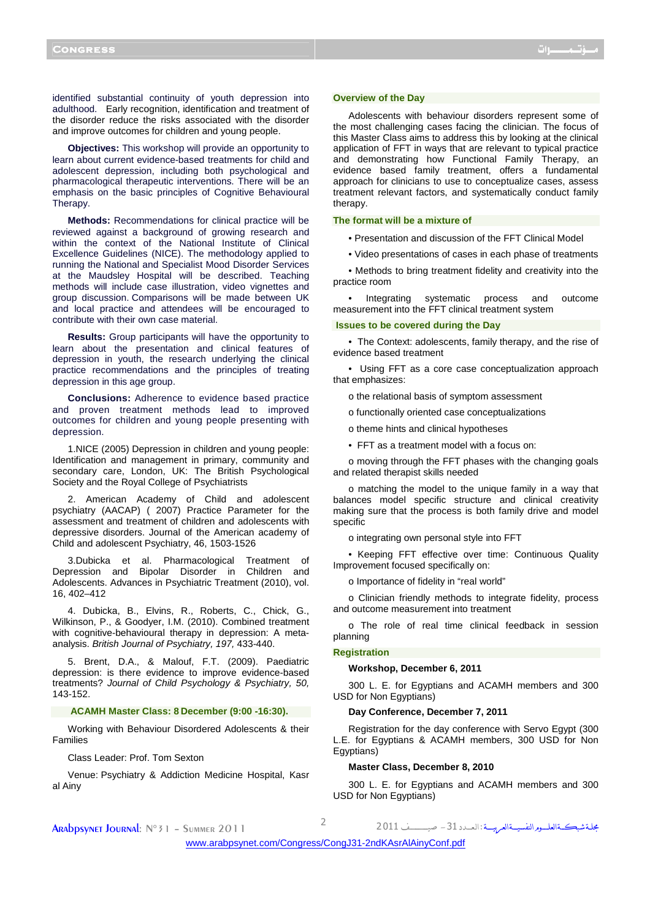identified substantial continuity of youth depression into adulthood. Early recognition, identification and treatment of the disorder reduce the risks associated with the disorder and improve outcomes for children and young people.

**Objectives:** This workshop will provide an opportunity to learn about current evidence-based treatments for child and adolescent depression, including both psychological and pharmacological therapeutic interventions. There will be an emphasis on the basic principles of Cognitive Behavioural Therapy.

**Methods:** Recommendations for clinical practice will be reviewed against a background of growing research and within the context of the National Institute of Clinical Excellence Guidelines (NICE). The methodology applied to running the National and Specialist Mood Disorder Services at the Maudsley Hospital will be described. Teaching methods will include case illustration, video vignettes and group discussion. Comparisons will be made between UK and local practice and attendees will be encouraged to contribute with their own case material.

**Results:** Group participants will have the opportunity to learn about the presentation and clinical features of depression in youth, the research underlying the clinical practice recommendations and the principles of treating depression in this age group.

**Conclusions:** Adherence to evidence based practice and proven treatment methods lead to improved outcomes for children and young people presenting with depression.

1.NICE (2005) Depression in children and young people: Identification and management in primary, community and secondary care, London, UK: The British Psychological Society and the Royal College of Psychiatrists

2. American Academy of Child and adolescent psychiatry (AACAP) ( 2007) Practice Parameter for the assessment and treatment of children and adolescents with depressive disorders. Journal of the American academy of Child and adolescent Psychiatry, 46, 1503-1526

3.Dubicka et al. Pharmacological Treatment of Depression and Bipolar Disorder in Children and Adolescents. Advances in Psychiatric Treatment (2010), vol. 16, 402–412

4. Dubicka, B., Elvins, R., Roberts, C., Chick, G., Wilkinson, P., & Goodyer, I.M. (2010). Combined treatment with cognitive-behavioural therapy in depression: A metaanalysis. British Journal of Psychiatry, 197, 433-440.

5. Brent, D.A., & Malouf, F.T. (2009). Paediatric depression: is there evidence to improve evidence-based treatments? Journal of Child Psychology & Psychiatry, 50, 143-152.

## **ACAMH Master Class: 8 December (9:00 -16:30).**

Working with Behaviour Disordered Adolescents & their Families

Class Leader: Prof. Tom Sexton

Venue: Psychiatry & Addiction Medicine Hospital, Kasr al Ainy

#### **Overview of the Day**

Adolescents with behaviour disorders represent some of the most challenging cases facing the clinician. The focus of this Master Class aims to address this by looking at the clinical application of FFT in ways that are relevant to typical practice and demonstrating how Functional Family Therapy, an evidence based family treatment, offers a fundamental approach for clinicians to use to conceptualize cases, assess treatment relevant factors, and systematically conduct family therapy.

## **The format will be a mixture of**

- Presentation and discussion of the FFT Clinical Model
- Video presentations of cases in each phase of treatments

• Methods to bring treatment fidelity and creativity into the practice room

• Integrating systematic process and outcome measurement into the FFT clinical treatment system

#### **Issues to be covered during the Day**

• The Context: adolescents, family therapy, and the rise of evidence based treatment

• Using FFT as a core case conceptualization approach that emphasizes:

- o the relational basis of symptom assessment
- o functionally oriented case conceptualizations
- o theme hints and clinical hypotheses
- FFT as a treatment model with a focus on:

o moving through the FFT phases with the changing goals and related therapist skills needed

o matching the model to the unique family in a way that balances model specific structure and clinical creativity making sure that the process is both family drive and model specific

o integrating own personal style into FFT

• Keeping FFT effective over time: Continuous Quality Improvement focused specifically on:

o Importance of fidelity in "real world"

o Clinician friendly methods to integrate fidelity, process and outcome measurement into treatment

o The role of real time clinical feedback in session planning

# **Registration**

**Workshop, December 6, 2011** 

300 L. E. for Egyptians and ACAMH members and 300 USD for Non Egyptians)

## **Day Conference, December 7, 2011**

Registration for the day conference with Servo Egypt (300 L.E. for Egyptians & ACAMH members, 300 USD for Non Egyptians)

### **Master Class, December 8, 2010**

300 L. E. for Egyptians and ACAMH members and 300 USD for Non Egyptians)

مجلةشبكــةالعلـــورالنفسيــةالعربيـــة:العــدد 31 – صيــــــــف 2011

Arabpsynet Journal: N°<sup>31</sup> – Summer 2011 <sup>2</sup>

[www.arabpsynet.com/Congress/CongJ31-2ndKAsrAlAinyConf.pdf](www.arabpsynet.com/Congress/CongJ31-2ndKAsrAlAinyConf.pdf )